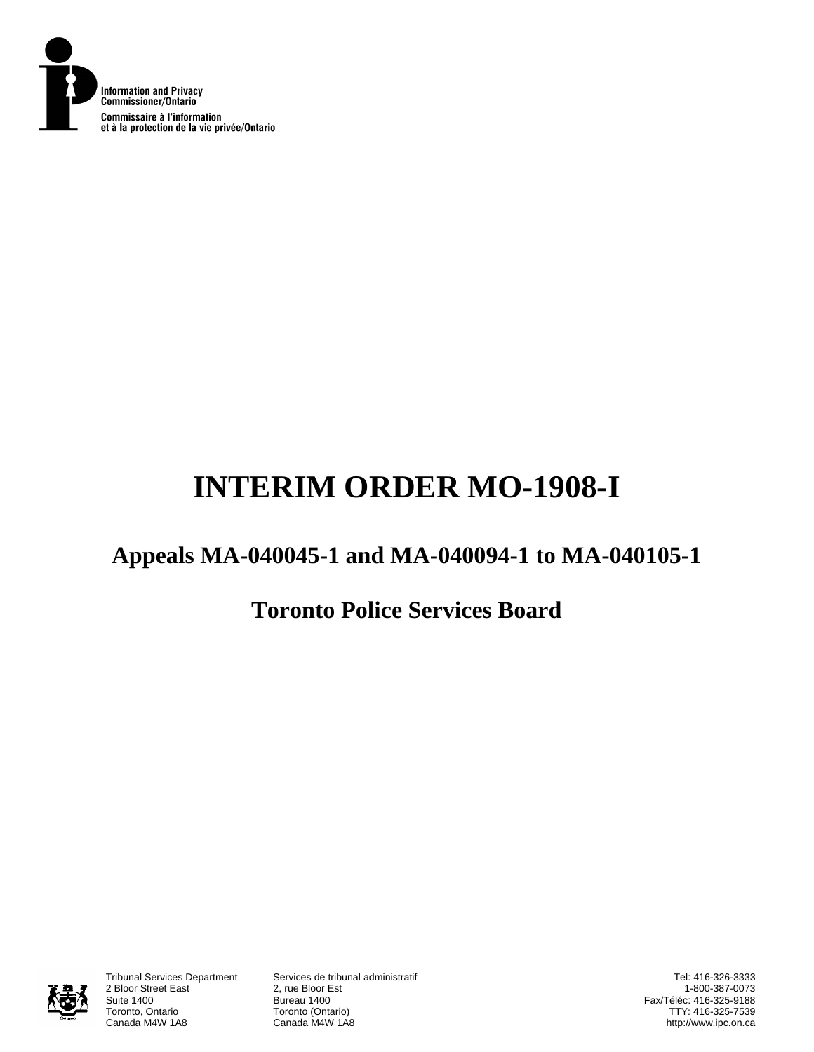

# **INTERIM ORDER MO-1908-I**

# **Appeals MA-040045-1 and MA-040094-1 to MA-040105-1**

## **Toronto Police Services Board**



2 Bloor Street East<br>Suite 1400 Suite 1400<br>Toronto, Ontario **Bureau 1400**<br>Toronto (Onta Toronto, Ontario **Toronto (Ontario)**<br>Canada M4W 1A8 Canada M4W 1A8

Tribunal Services Department Services de tribunal administratif Canada M4W 1A8

Tel: 416-326-3333 1-800-387-0073 Fax/Téléc: 416-325-9188 TTY: 416-325-7539 http://www.ipc.on.ca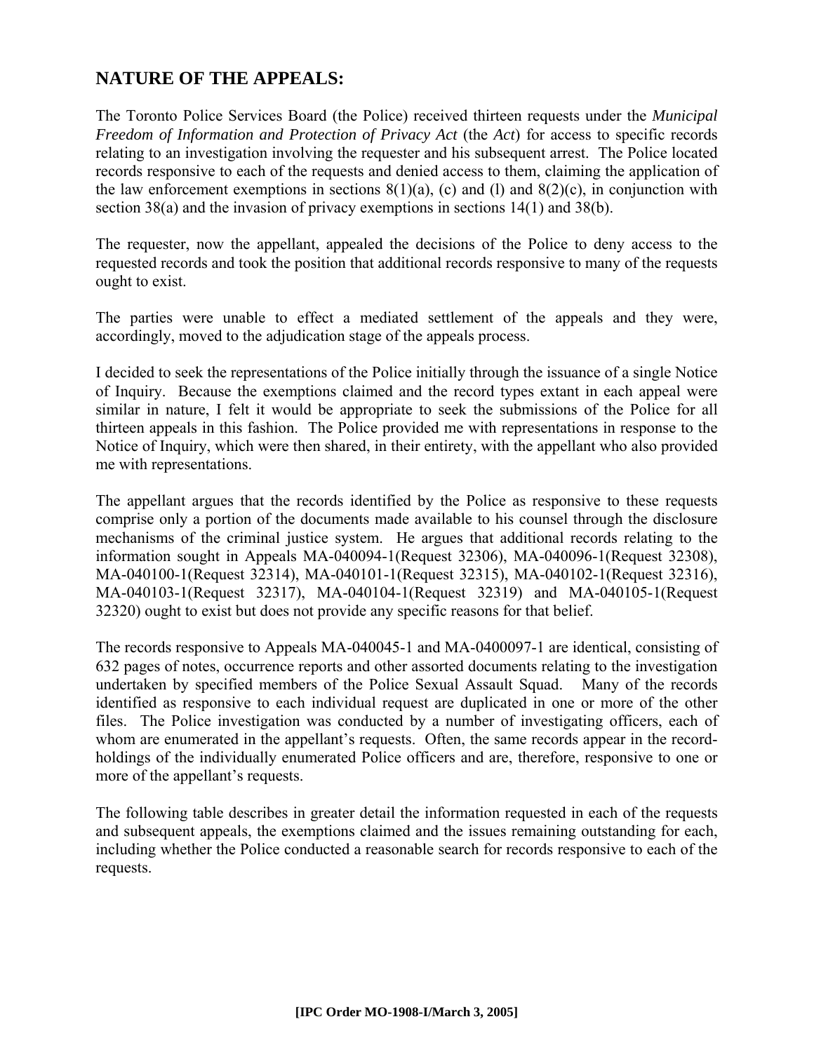### **NATURE OF THE APPEALS:**

The Toronto Police Services Board (the Police) received thirteen requests under the *Municipal Freedom of Information and Protection of Privacy Act* (the *Act*) for access to specific records relating to an investigation involving the requester and his subsequent arrest. The Police located records responsive to each of the requests and denied access to them, claiming the application of the law enforcement exemptions in sections  $8(1)(a)$ , (c) and (l) and  $8(2)(c)$ , in conjunction with section 38(a) and the invasion of privacy exemptions in sections 14(1) and 38(b).

The requester, now the appellant, appealed the decisions of the Police to deny access to the requested records and took the position that additional records responsive to many of the requests ought to exist.

The parties were unable to effect a mediated settlement of the appeals and they were, accordingly, moved to the adjudication stage of the appeals process.

I decided to seek the representations of the Police initially through the issuance of a single Notice of Inquiry. Because the exemptions claimed and the record types extant in each appeal were similar in nature, I felt it would be appropriate to seek the submissions of the Police for all thirteen appeals in this fashion. The Police provided me with representations in response to the Notice of Inquiry, which were then shared, in their entirety, with the appellant who also provided me with representations.

The appellant argues that the records identified by the Police as responsive to these requests comprise only a portion of the documents made available to his counsel through the disclosure mechanisms of the criminal justice system. He argues that additional records relating to the information sought in Appeals MA-040094-1(Request 32306), MA-040096-1(Request 32308), MA-040100-1(Request 32314), MA-040101-1(Request 32315), MA-040102-1(Request 32316), MA-040103-1(Request 32317), MA-040104-1(Request 32319) and MA-040105-1(Request 32320) ought to exist but does not provide any specific reasons for that belief.

The records responsive to Appeals MA-040045-1 and MA-0400097-1 are identical, consisting of 632 pages of notes, occurrence reports and other assorted documents relating to the investigation undertaken by specified members of the Police Sexual Assault Squad. Many of the records identified as responsive to each individual request are duplicated in one or more of the other files. The Police investigation was conducted by a number of investigating officers, each of whom are enumerated in the appellant's requests. Often, the same records appear in the recordholdings of the individually enumerated Police officers and are, therefore, responsive to one or more of the appellant's requests.

The following table describes in greater detail the information requested in each of the requests and subsequent appeals, the exemptions claimed and the issues remaining outstanding for each, including whether the Police conducted a reasonable search for records responsive to each of the requests.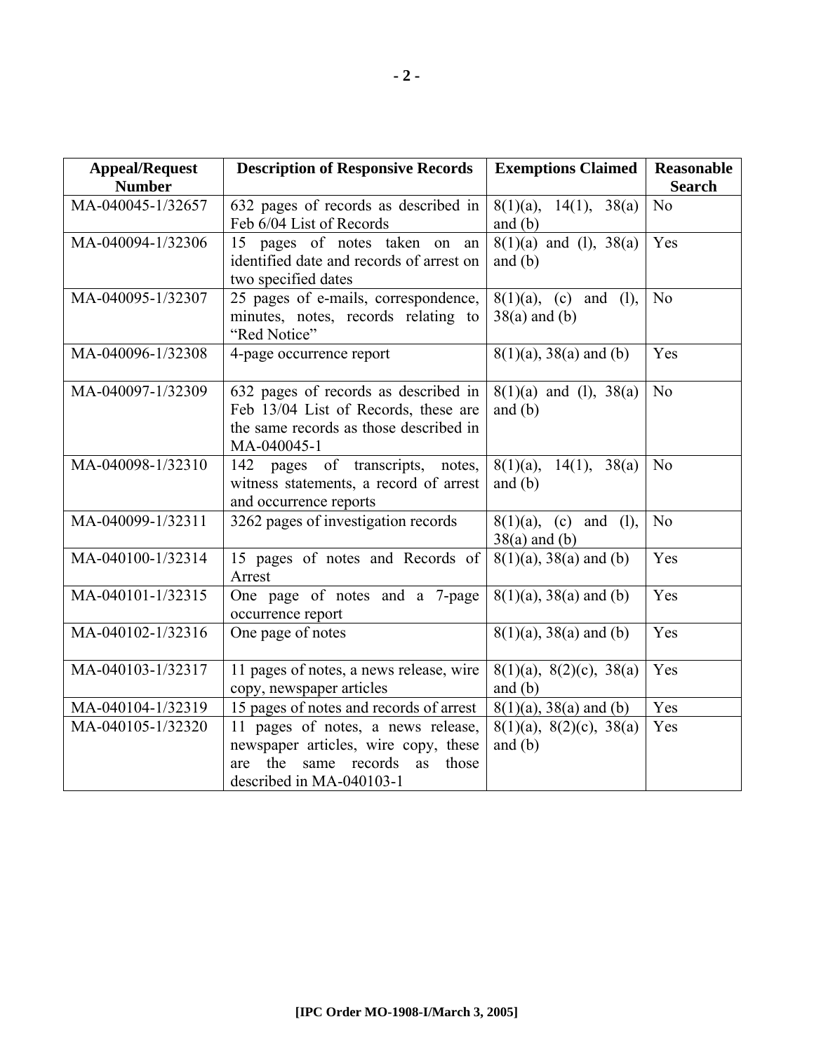| <b>Appeal/Request</b><br><b>Number</b> | <b>Description of Responsive Records</b>                                                                                                            | <b>Exemptions Claimed</b>                    | <b>Reasonable</b><br><b>Search</b> |
|----------------------------------------|-----------------------------------------------------------------------------------------------------------------------------------------------------|----------------------------------------------|------------------------------------|
| MA-040045-1/32657                      | 632 pages of records as described in<br>Feb 6/04 List of Records                                                                                    | $8(1)(a)$ , 14(1), 38(a)<br>and $(b)$        | N <sub>o</sub>                     |
| MA-040094-1/32306                      | 15 pages of notes taken on an<br>identified date and records of arrest on<br>two specified dates                                                    | $8(1)(a)$ and (1), $38(a)$<br>and $(b)$      | Yes                                |
| MA-040095-1/32307                      | 25 pages of e-mails, correspondence,<br>minutes, notes, records relating to<br>"Red Notice"                                                         | $8(1)(a)$ , (c) and (l),<br>$38(a)$ and (b)  | N <sub>o</sub>                     |
| MA-040096-1/32308                      | 4-page occurrence report                                                                                                                            | $8(1)(a)$ , 38(a) and (b)                    | Yes                                |
| MA-040097-1/32309                      | 632 pages of records as described in<br>Feb 13/04 List of Records, these are<br>the same records as those described in<br>MA-040045-1               | $8(1)(a)$ and (1), $38(a)$<br>and $(b)$      | No                                 |
| MA-040098-1/32310                      | 142 pages of transcripts, notes,<br>witness statements, a record of arrest<br>and occurrence reports                                                | $8(1)(a)$ , 14(1), 38(a)<br>and $(b)$        | N <sub>o</sub>                     |
| MA-040099-1/32311                      | 3262 pages of investigation records                                                                                                                 | $8(1)(a)$ , (c) and (l),<br>$38(a)$ and (b)  | N <sub>o</sub>                     |
| MA-040100-1/32314                      | 15 pages of notes and Records of<br>Arrest                                                                                                          | $8(1)(a)$ , 38(a) and (b)                    | Yes                                |
| MA-040101-1/32315                      | One page of notes and a 7-page<br>occurrence report                                                                                                 | $8(1)(a)$ , 38(a) and (b)                    | Yes                                |
| MA-040102-1/32316                      | One page of notes                                                                                                                                   | $8(1)(a)$ , 38(a) and (b)                    | Yes                                |
| MA-040103-1/32317                      | 11 pages of notes, a news release, wire<br>copy, newspaper articles                                                                                 | $8(1)(a)$ , $8(2)(c)$ , $38(a)$<br>and $(b)$ | Yes                                |
| MA-040104-1/32319                      | 15 pages of notes and records of arrest                                                                                                             | $8(1)(a)$ , 38(a) and (b)                    | Yes                                |
| MA-040105-1/32320                      | 11 pages of notes, a news release,<br>newspaper articles, wire copy, these<br>the<br>same records<br>as<br>those<br>are<br>described in MA-040103-1 | $8(1)(a)$ , $8(2)(c)$ , $38(a)$<br>and $(b)$ | Yes                                |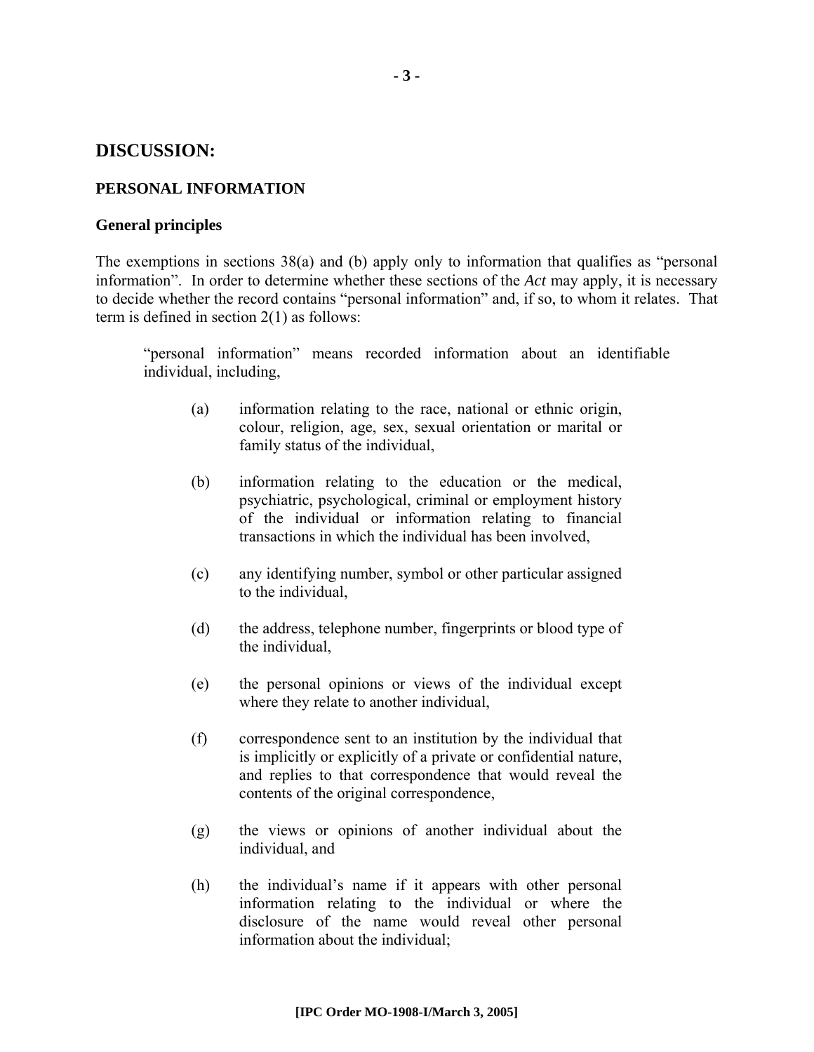#### **DISCUSSION:**

#### **PERSONAL INFORMATION**

#### **General principles**

The exemptions in sections 38(a) and (b) apply only to information that qualifies as "personal information". In order to determine whether these sections of the *Act* may apply, it is necessary to decide whether the record contains "personal information" and, if so, to whom it relates. That term is defined in section 2(1) as follows:

"personal information" means recorded information about an identifiable individual, including,

- (a) information relating to the race, national or ethnic origin, colour, religion, age, sex, sexual orientation or marital or family status of the individual,
- (b) information relating to the education or the medical, psychiatric, psychological, criminal or employment history of the individual or information relating to financial transactions in which the individual has been involved,
- (c) any identifying number, symbol or other particular assigned to the individual,
- (d) the address, telephone number, fingerprints or blood type of the individual,
- (e) the personal opinions or views of the individual except where they relate to another individual,
- (f) correspondence sent to an institution by the individual that is implicitly or explicitly of a private or confidential nature, and replies to that correspondence that would reveal the contents of the original correspondence,
- (g) the views or opinions of another individual about the individual, and
- (h) the individual's name if it appears with other personal information relating to the individual or where the disclosure of the name would reveal other personal information about the individual;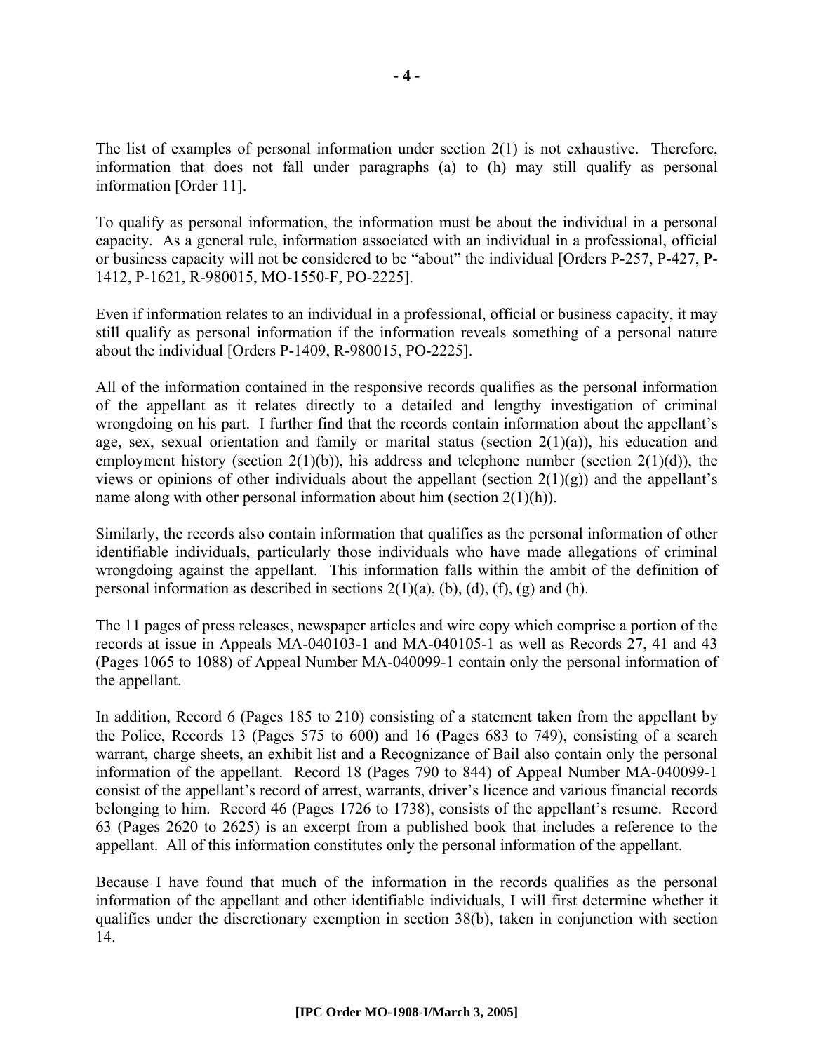The list of examples of personal information under section 2(1) is not exhaustive. Therefore, information that does not fall under paragraphs (a) to (h) may still qualify as personal information [Order 11].

To qualify as personal information, the information must be about the individual in a personal capacity. As a general rule, information associated with an individual in a professional, official or business capacity will not be considered to be "about" the individual [Orders P-257, P-427, P-1412, P-1621, R-980015, MO-1550-F, PO-2225].

Even if information relates to an individual in a professional, official or business capacity, it may still qualify as personal information if the information reveals something of a personal nature about the individual [Orders P-1409, R-980015, PO-2225].

All of the information contained in the responsive records qualifies as the personal information of the appellant as it relates directly to a detailed and lengthy investigation of criminal wrongdoing on his part. I further find that the records contain information about the appellant's age, sex, sexual orientation and family or marital status (section  $2(1)(a)$ ), his education and employment history (section  $2(1)(b)$ ), his address and telephone number (section  $2(1)(d)$ ), the views or opinions of other individuals about the appellant (section  $2(1)(g)$ ) and the appellant's name along with other personal information about him (section 2(1)(h)).

Similarly, the records also contain information that qualifies as the personal information of other identifiable individuals, particularly those individuals who have made allegations of criminal wrongdoing against the appellant. This information falls within the ambit of the definition of personal information as described in sections  $2(1)(a)$ ,  $(b)$ ,  $(d)$ ,  $(f)$ ,  $(g)$  and  $(h)$ .

The 11 pages of press releases, newspaper articles and wire copy which comprise a portion of the records at issue in Appeals MA-040103-1 and MA-040105-1 as well as Records 27, 41 and 43 (Pages 1065 to 1088) of Appeal Number MA-040099-1 contain only the personal information of the appellant.

In addition, Record 6 (Pages 185 to 210) consisting of a statement taken from the appellant by the Police, Records 13 (Pages 575 to 600) and 16 (Pages 683 to 749), consisting of a search warrant, charge sheets, an exhibit list and a Recognizance of Bail also contain only the personal information of the appellant. Record 18 (Pages 790 to 844) of Appeal Number MA-040099-1 consist of the appellant's record of arrest, warrants, driver's licence and various financial records belonging to him. Record 46 (Pages 1726 to 1738), consists of the appellant's resume. Record 63 (Pages 2620 to 2625) is an excerpt from a published book that includes a reference to the appellant. All of this information constitutes only the personal information of the appellant.

Because I have found that much of the information in the records qualifies as the personal information of the appellant and other identifiable individuals, I will first determine whether it qualifies under the discretionary exemption in section 38(b), taken in conjunction with section 14.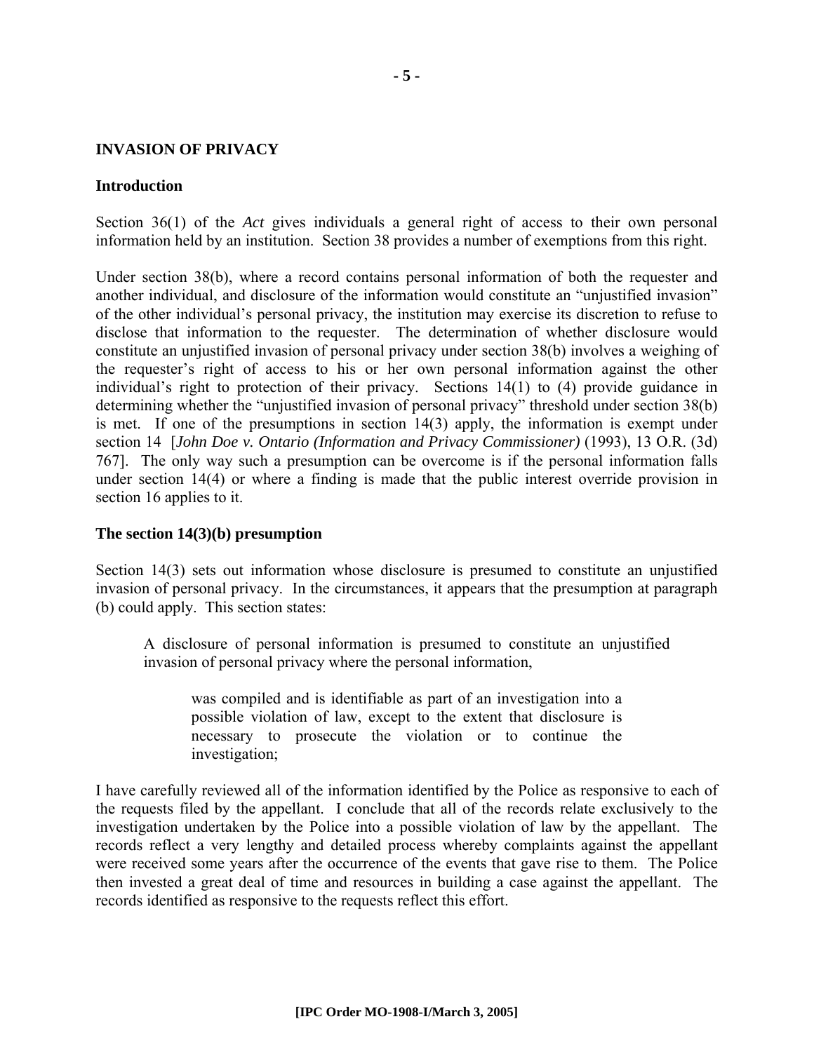#### **INVASION OF PRIVACY**

#### **Introduction**

Section 36(1) of the *Act* gives individuals a general right of access to their own personal information held by an institution. Section 38 provides a number of exemptions from this right.

Under section 38(b), where a record contains personal information of both the requester and another individual, and disclosure of the information would constitute an "unjustified invasion" of the other individual's personal privacy, the institution may exercise its discretion to refuse to disclose that information to the requester. The determination of whether disclosure would constitute an unjustified invasion of personal privacy under section 38(b) involves a weighing of the requester's right of access to his or her own personal information against the other individual's right to protection of their privacy. Sections 14(1) to (4) provide guidance in determining whether the "unjustified invasion of personal privacy" threshold under section 38(b) is met. If one of the presumptions in section 14(3) apply, the information is exempt under section 14 [*John Doe v. Ontario (Information and Privacy Commissioner)* (1993), 13 O.R. (3d) 767]. The only way such a presumption can be overcome is if the personal information falls under section 14(4) or where a finding is made that the public interest override provision in section 16 applies to it.

#### **The section 14(3)(b) presumption**

Section 14(3) sets out information whose disclosure is presumed to constitute an unjustified invasion of personal privacy. In the circumstances, it appears that the presumption at paragraph (b) could apply. This section states:

A disclosure of personal information is presumed to constitute an unjustified invasion of personal privacy where the personal information,

was compiled and is identifiable as part of an investigation into a possible violation of law, except to the extent that disclosure is necessary to prosecute the violation or to continue the investigation;

I have carefully reviewed all of the information identified by the Police as responsive to each of the requests filed by the appellant. I conclude that all of the records relate exclusively to the investigation undertaken by the Police into a possible violation of law by the appellant. The records reflect a very lengthy and detailed process whereby complaints against the appellant were received some years after the occurrence of the events that gave rise to them. The Police then invested a great deal of time and resources in building a case against the appellant. The records identified as responsive to the requests reflect this effort.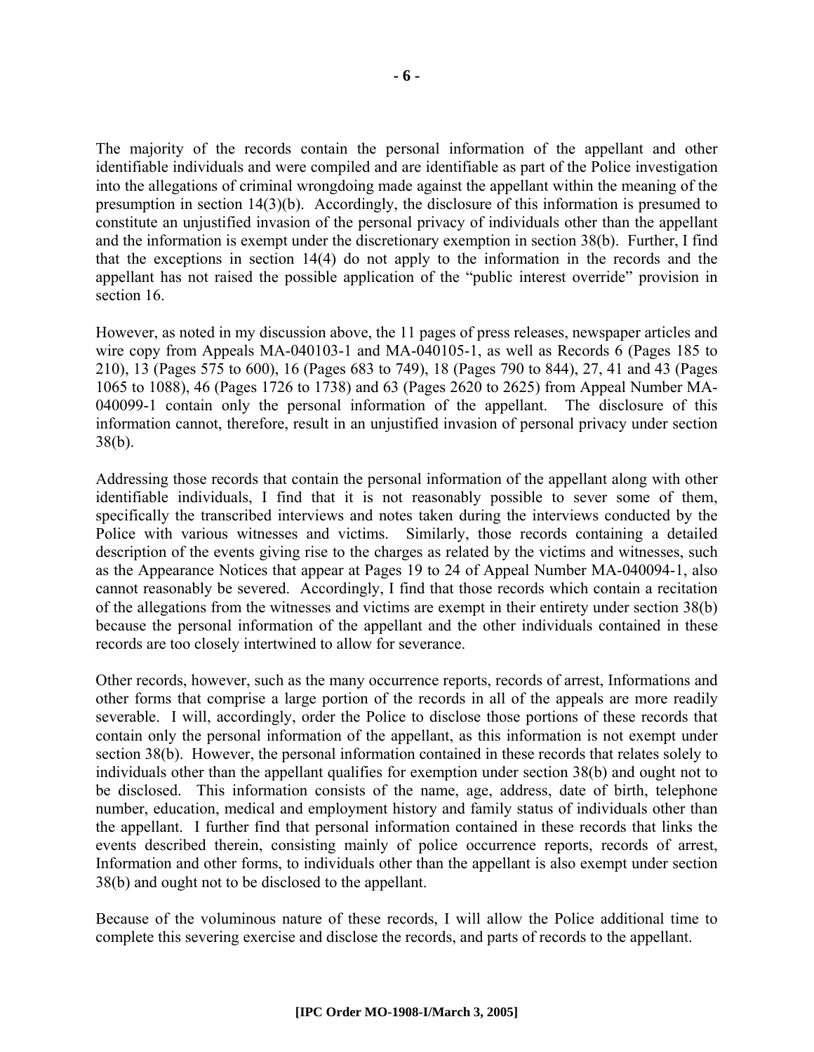The majority of the records contain the personal information of the appellant and other identifiable individuals and were compiled and are identifiable as part of the Police investigation into the allegations of criminal wrongdoing made against the appellant within the meaning of the presumption in section 14(3)(b). Accordingly, the disclosure of this information is presumed to constitute an unjustified invasion of the personal privacy of individuals other than the appellant and the information is exempt under the discretionary exemption in section 38(b). Further, I find that the exceptions in section 14(4) do not apply to the information in the records and the appellant has not raised the possible application of the "public interest override" provision in section 16

However, as noted in my discussion above, the 11 pages of press releases, newspaper articles and wire copy from Appeals MA-040103-1 and MA-040105-1, as well as Records 6 (Pages 185 to 210), 13 (Pages 575 to 600), 16 (Pages 683 to 749), 18 (Pages 790 to 844), 27, 41 and 43 (Pages 1065 to 1088), 46 (Pages 1726 to 1738) and 63 (Pages 2620 to 2625) from Appeal Number MA-040099-1 contain only the personal information of the appellant. The disclosure of this information cannot, therefore, result in an unjustified invasion of personal privacy under section 38(b).

Addressing those records that contain the personal information of the appellant along with other identifiable individuals, I find that it is not reasonably possible to sever some of them, specifically the transcribed interviews and notes taken during the interviews conducted by the Police with various witnesses and victims. Similarly, those records containing a detailed description of the events giving rise to the charges as related by the victims and witnesses, such as the Appearance Notices that appear at Pages 19 to 24 of Appeal Number MA-040094-1, also cannot reasonably be severed. Accordingly, I find that those records which contain a recitation of the allegations from the witnesses and victims are exempt in their entirety under section 38(b) because the personal information of the appellant and the other individuals contained in these records are too closely intertwined to allow for severance.

Other records, however, such as the many occurrence reports, records of arrest, Informations and other forms that comprise a large portion of the records in all of the appeals are more readily severable. I will, accordingly, order the Police to disclose those portions of these records that contain only the personal information of the appellant, as this information is not exempt under section 38(b). However, the personal information contained in these records that relates solely to individuals other than the appellant qualifies for exemption under section 38(b) and ought not to be disclosed. This information consists of the name, age, address, date of birth, telephone number, education, medical and employment history and family status of individuals other than the appellant. I further find that personal information contained in these records that links the events described therein, consisting mainly of police occurrence reports, records of arrest, Information and other forms, to individuals other than the appellant is also exempt under section 38(b) and ought not to be disclosed to the appellant.

Because of the voluminous nature of these records, I will allow the Police additional time to complete this severing exercise and disclose the records, and parts of records to the appellant.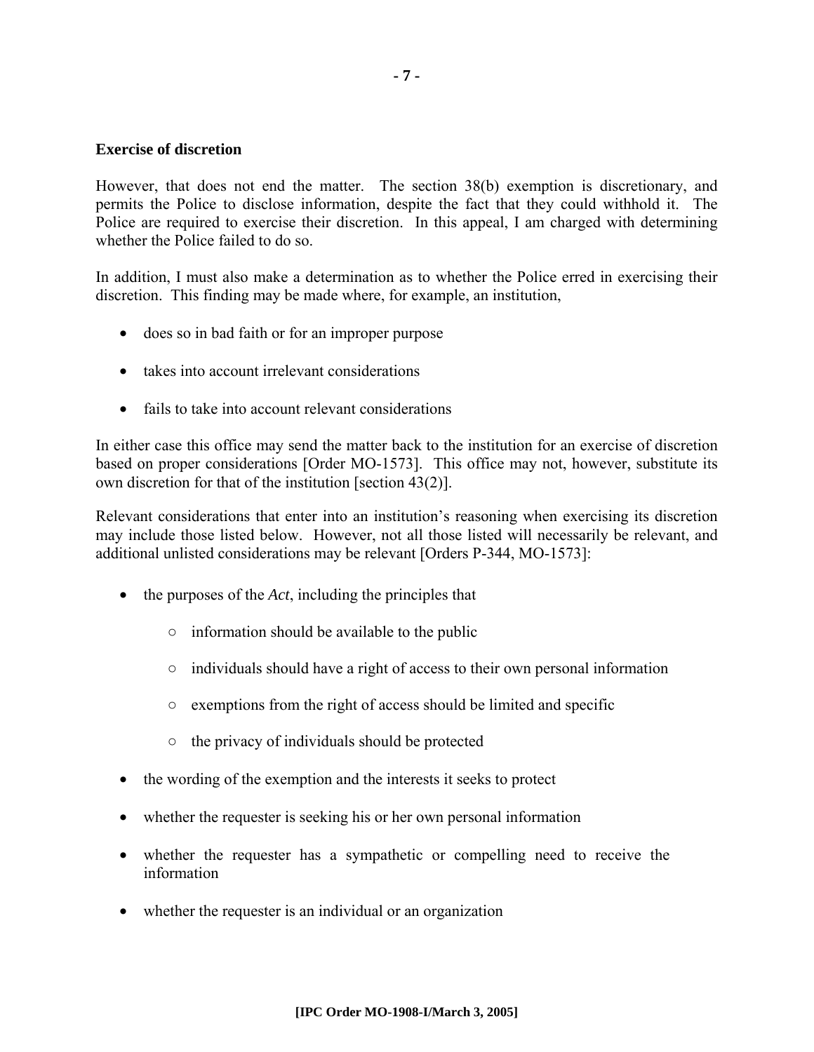#### **Exercise of discretion**

However, that does not end the matter. The section 38(b) exemption is discretionary, and permits the Police to disclose information, despite the fact that they could withhold it. The Police are required to exercise their discretion. In this appeal, I am charged with determining whether the Police failed to do so.

In addition, I must also make a determination as to whether the Police erred in exercising their discretion. This finding may be made where, for example, an institution,

- does so in bad faith or for an improper purpose
- takes into account irrelevant considerations
- fails to take into account relevant considerations

In either case this office may send the matter back to the institution for an exercise of discretion based on proper considerations [Order MO-1573]. This office may not, however, substitute its own discretion for that of the institution [section 43(2)].

Relevant considerations that enter into an institution's reasoning when exercising its discretion may include those listed below. However, not all those listed will necessarily be relevant, and additional unlisted considerations may be relevant [Orders P-344, MO-1573]:

- the purposes of the *Act*, including the principles that
	- $\circ$  information should be available to the public
	- individuals should have a right of access to their own personal information
	- exemptions from the right of access should be limited and specific
	- the privacy of individuals should be protected
- the wording of the exemption and the interests it seeks to protect
- whether the requester is seeking his or her own personal information
- whether the requester has a sympathetic or compelling need to receive the information
- whether the requester is an individual or an organization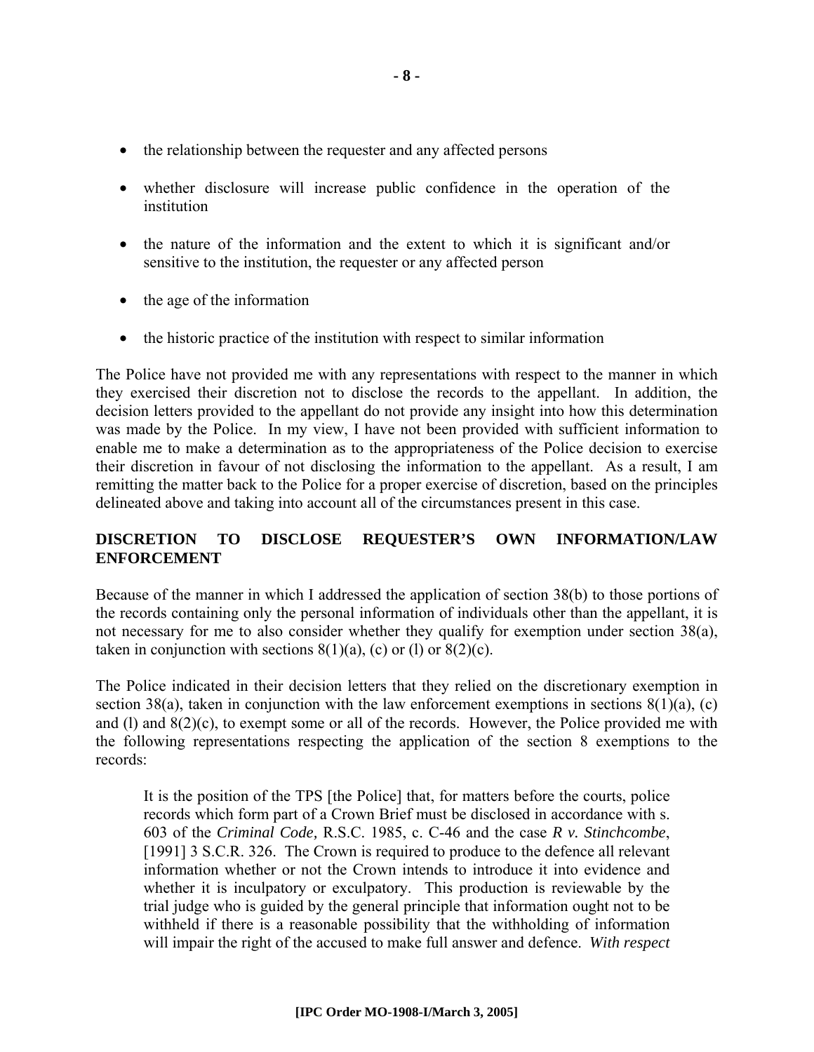- the relationship between the requester and any affected persons
- whether disclosure will increase public confidence in the operation of the institution
- the nature of the information and the extent to which it is significant and/or sensitive to the institution, the requester or any affected person
- the age of the information
- the historic practice of the institution with respect to similar information

The Police have not provided me with any representations with respect to the manner in which they exercised their discretion not to disclose the records to the appellant. In addition, the decision letters provided to the appellant do not provide any insight into how this determination was made by the Police. In my view, I have not been provided with sufficient information to enable me to make a determination as to the appropriateness of the Police decision to exercise their discretion in favour of not disclosing the information to the appellant. As a result, I am remitting the matter back to the Police for a proper exercise of discretion, based on the principles delineated above and taking into account all of the circumstances present in this case.

#### **DISCRETION TO DISCLOSE REQUESTER'S OWN INFORMATION/LAW ENFORCEMENT**

Because of the manner in which I addressed the application of section 38(b) to those portions of the records containing only the personal information of individuals other than the appellant, it is not necessary for me to also consider whether they qualify for exemption under section 38(a), taken in conjunction with sections  $8(1)(a)$ , (c) or (l) or  $8(2)(c)$ .

The Police indicated in their decision letters that they relied on the discretionary exemption in section 38(a), taken in conjunction with the law enforcement exemptions in sections  $8(1)(a)$ , (c) and (l) and 8(2)(c), to exempt some or all of the records. However, the Police provided me with the following representations respecting the application of the section 8 exemptions to the records:

It is the position of the TPS [the Police] that, for matters before the courts, police records which form part of a Crown Brief must be disclosed in accordance with s. 603 of the *Criminal Code,* R.S.C. 1985, c. C-46 and the case *R v. Stinchcombe*, [1991] 3 S.C.R. 326. The Crown is required to produce to the defence all relevant information whether or not the Crown intends to introduce it into evidence and whether it is inculpatory or exculpatory. This production is reviewable by the trial judge who is guided by the general principle that information ought not to be withheld if there is a reasonable possibility that the withholding of information will impair the right of the accused to make full answer and defence. *With respect*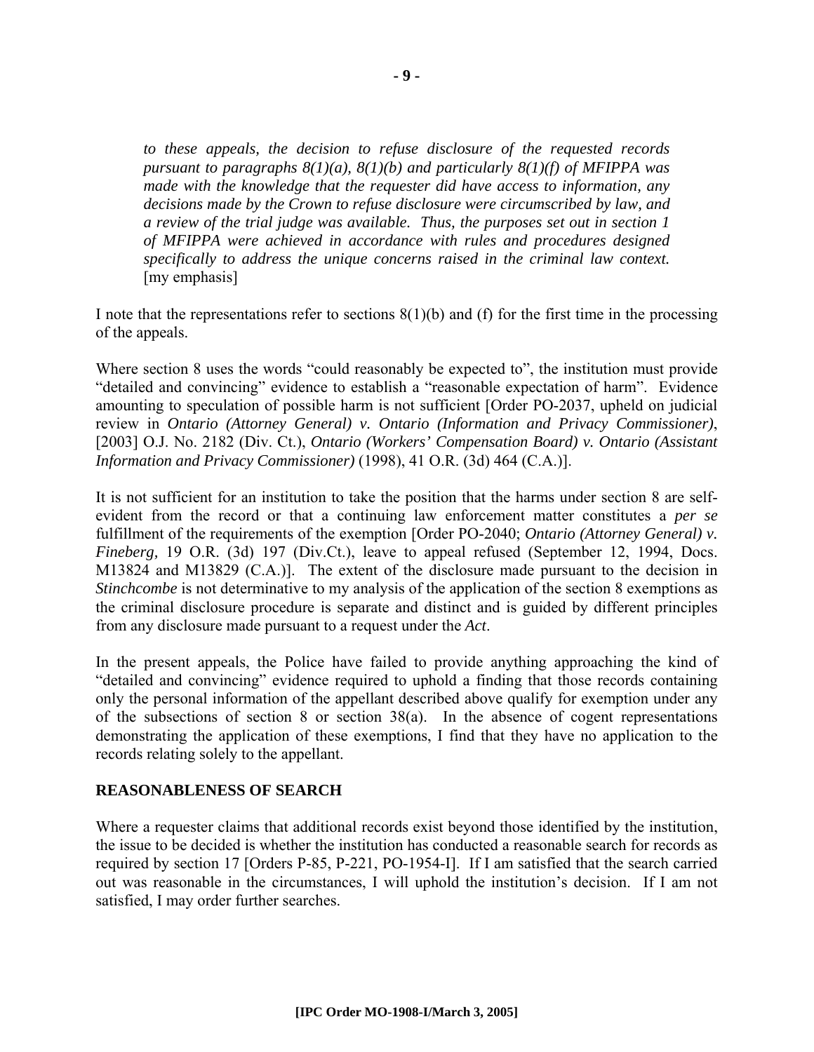*to these appeals, the decision to refuse disclosure of the requested records pursuant to paragraphs 8(1)(a), 8(1)(b) and particularly 8(1)(f) of MFIPPA was made with the knowledge that the requester did have access to information, any decisions made by the Crown to refuse disclosure were circumscribed by law, and a review of the trial judge was available. Thus, the purposes set out in section 1 of MFIPPA were achieved in accordance with rules and procedures designed specifically to address the unique concerns raised in the criminal law context.*  [my emphasis]

I note that the representations refer to sections  $8(1)(b)$  and (f) for the first time in the processing of the appeals.

Where section 8 uses the words "could reasonably be expected to", the institution must provide "detailed and convincing" evidence to establish a "reasonable expectation of harm". Evidence amounting to speculation of possible harm is not sufficient [Order PO-2037, upheld on judicial review in *Ontario (Attorney General) v. Ontario (Information and Privacy Commissioner)*, [2003] O.J. No. 2182 (Div. Ct.), *Ontario (Workers' Compensation Board) v. Ontario (Assistant Information and Privacy Commissioner)* (1998), 41 O.R. (3d) 464 (C.A.)].

It is not sufficient for an institution to take the position that the harms under section 8 are selfevident from the record or that a continuing law enforcement matter constitutes a *per se* fulfillment of the requirements of the exemption [Order PO-2040; *Ontario (Attorney General) v. Fineberg,* 19 O.R. (3d) 197 (Div.Ct.), leave to appeal refused (September 12, 1994, Docs. M13824 and M13829 (C.A.)]. The extent of the disclosure made pursuant to the decision in *Stinchcombe* is not determinative to my analysis of the application of the section 8 exemptions as the criminal disclosure procedure is separate and distinct and is guided by different principles from any disclosure made pursuant to a request under the *Act*.

In the present appeals, the Police have failed to provide anything approaching the kind of "detailed and convincing" evidence required to uphold a finding that those records containing only the personal information of the appellant described above qualify for exemption under any of the subsections of section 8 or section 38(a). In the absence of cogent representations demonstrating the application of these exemptions, I find that they have no application to the records relating solely to the appellant.

#### **REASONABLENESS OF SEARCH**

Where a requester claims that additional records exist beyond those identified by the institution, the issue to be decided is whether the institution has conducted a reasonable search for records as required by section 17 [Orders P-85, P-221, PO-1954-I]. If I am satisfied that the search carried out was reasonable in the circumstances, I will uphold the institution's decision. If I am not satisfied, I may order further searches.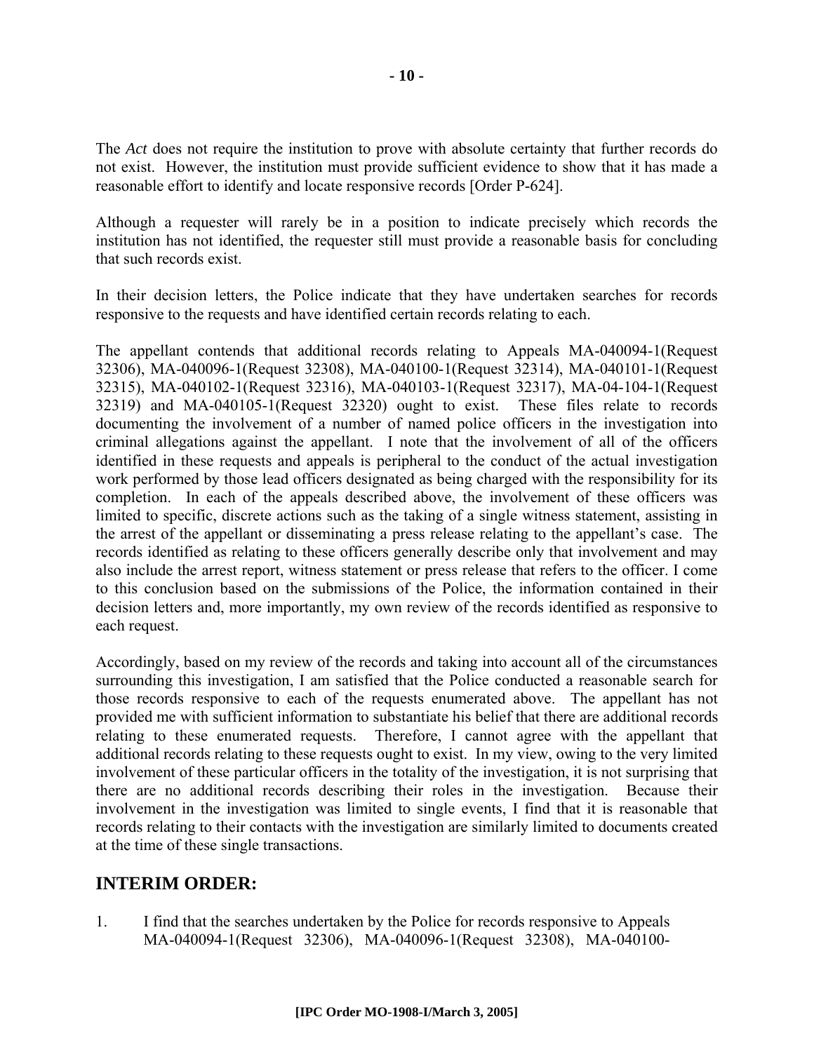The *Act* does not require the institution to prove with absolute certainty that further records do not exist. However, the institution must provide sufficient evidence to show that it has made a reasonable effort to identify and locate responsive records [Order P-624].

Although a requester will rarely be in a position to indicate precisely which records the institution has not identified, the requester still must provide a reasonable basis for concluding that such records exist.

In their decision letters, the Police indicate that they have undertaken searches for records responsive to the requests and have identified certain records relating to each.

The appellant contends that additional records relating to Appeals MA-040094-1(Request 32306), MA-040096-1(Request 32308), MA-040100-1(Request 32314), MA-040101-1(Request 32315), MA-040102-1(Request 32316), MA-040103-1(Request 32317), MA-04-104-1(Request 32319) and MA-040105-1(Request 32320) ought to exist. These files relate to records documenting the involvement of a number of named police officers in the investigation into criminal allegations against the appellant. I note that the involvement of all of the officers identified in these requests and appeals is peripheral to the conduct of the actual investigation work performed by those lead officers designated as being charged with the responsibility for its completion. In each of the appeals described above, the involvement of these officers was limited to specific, discrete actions such as the taking of a single witness statement, assisting in the arrest of the appellant or disseminating a press release relating to the appellant's case. The records identified as relating to these officers generally describe only that involvement and may also include the arrest report, witness statement or press release that refers to the officer. I come to this conclusion based on the submissions of the Police, the information contained in their decision letters and, more importantly, my own review of the records identified as responsive to each request.

Accordingly, based on my review of the records and taking into account all of the circumstances surrounding this investigation, I am satisfied that the Police conducted a reasonable search for those records responsive to each of the requests enumerated above. The appellant has not provided me with sufficient information to substantiate his belief that there are additional records relating to these enumerated requests. Therefore, I cannot agree with the appellant that additional records relating to these requests ought to exist. In my view, owing to the very limited involvement of these particular officers in the totality of the investigation, it is not surprising that there are no additional records describing their roles in the investigation. Because their involvement in the investigation was limited to single events, I find that it is reasonable that records relating to their contacts with the investigation are similarly limited to documents created at the time of these single transactions.

### **INTERIM ORDER:**

1. I find that the searches undertaken by the Police for records responsive to Appeals MA-040094-1(Request 32306), MA-040096-1(Request 32308), MA-040100